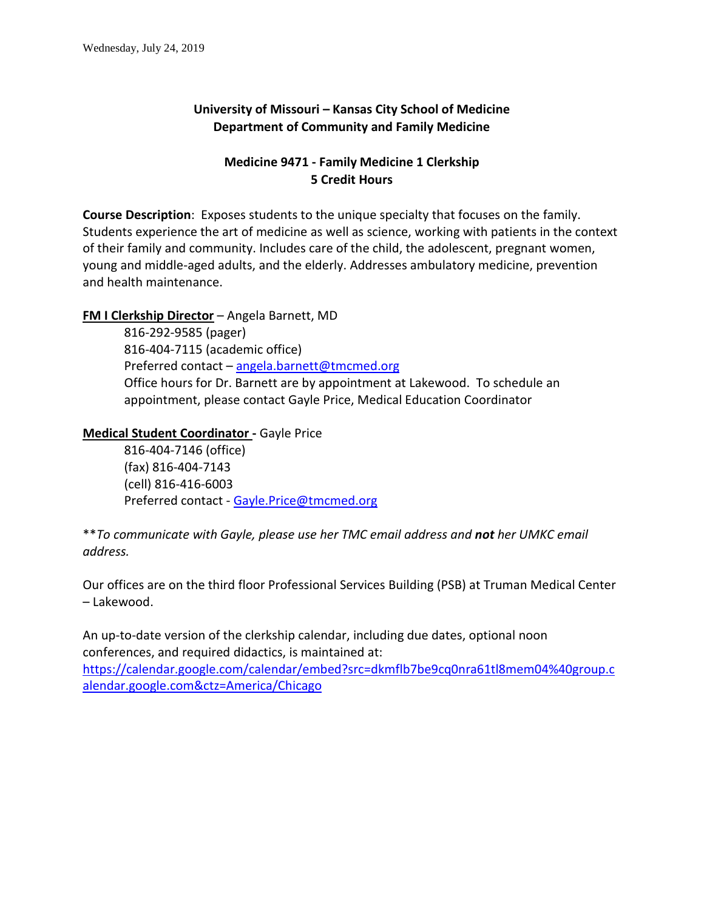# **University of Missouri – Kansas City School of Medicine Department of Community and Family Medicine**

# **Medicine 9471 - Family Medicine 1 Clerkship 5 Credit Hours**

**Course Description**: Exposes students to the unique specialty that focuses on the family. Students experience the art of medicine as well as science, working with patients in the context of their family and community. Includes care of the child, the adolescent, pregnant women, young and middle-aged adults, and the elderly. Addresses ambulatory medicine, prevention and health maintenance.

#### **FM I Clerkship Director** – Angela Barnett, MD

816-292-9585 (pager) 816-404-7115 (academic office) Preferred contact - angela.barnett@tmcmed.org Office hours for Dr. Barnett are by appointment at Lakewood. To schedule an appointment, please contact Gayle Price, Medical Education Coordinator

#### **Medical Student Coordinator -** Gayle Price

816-404-7146 (office) (fax) 816-404-7143 (cell) 816-416-6003 Preferred contact - [Gayle.Price@tmcmed.org](mailto:Gayle.Price@tmcmed.org)

\*\**To communicate with Gayle, please use her TMC email address and not her UMKC email address.*

Our offices are on the third floor Professional Services Building (PSB) at Truman Medical Center – Lakewood.

An up-to-date version of the clerkship calendar, including due dates, optional noon conferences, and required didactics, is maintained at:

[https://calendar.google.com/calendar/embed?src=dkmflb7be9cq0nra61tl8mem04%40group.c](https://calendar.google.com/calendar/embed?src=dkmflb7be9cq0nra61tl8mem04%40group.calendar.google.com&ctz=America/Chicago) [alendar.google.com&ctz=America/Chicago](https://calendar.google.com/calendar/embed?src=dkmflb7be9cq0nra61tl8mem04%40group.calendar.google.com&ctz=America/Chicago)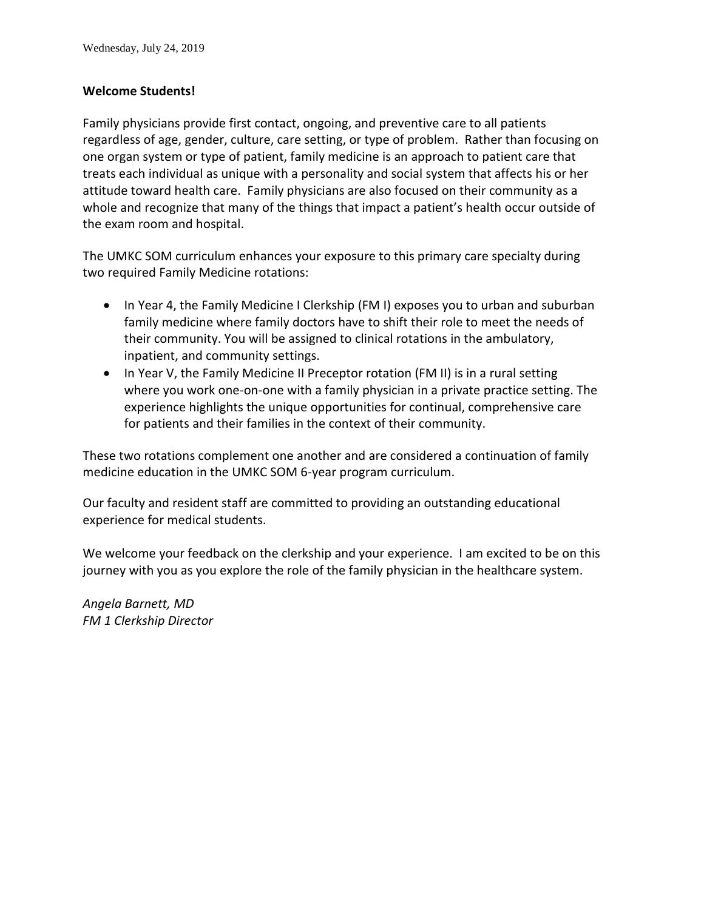#### **Welcome Students!**

Family physicians provide first contact, ongoing, and preventive care to all patients regardless of age, gender, culture, care setting, or type of problem. Rather than focusing on one organ system or type of patient, family medicine is an approach to patient care that treats each individual as unique with a personality and social system that affects his or her attitude toward health care. Family physicians are also focused on their community as a whole and recognize that many of the things that impact a patient's health occur outside of the exam room and hospital.

The UMKC SOM curriculum enhances your exposure to this primary care specialty during two required Family Medicine rotations:

- In Year 4, the Family Medicine I Clerkship (FM I) exposes you to urban and suburban family medicine where family doctors have to shift their role to meet the needs of their community. You will be assigned to clinical rotations in the ambulatory, inpatient, and community settings.
- In Year V, the Family Medicine II Preceptor rotation (FM II) is in a rural setting where you work one-on-one with a family physician in a private practice setting. The experience highlights the unique opportunities for continual, comprehensive care for patients and their families in the context of their community.

These two rotations complement one another and are considered a continuation of family medicine education in the UMKC SOM 6-year program curriculum.

Our faculty and resident staff are committed to providing an outstanding educational experience for medical students.

We welcome your feedback on the clerkship and your experience. I am excited to be on this journey with you as you explore the role of the family physician in the healthcare system.

*Angela Barnett, MD FM 1 Clerkship Director*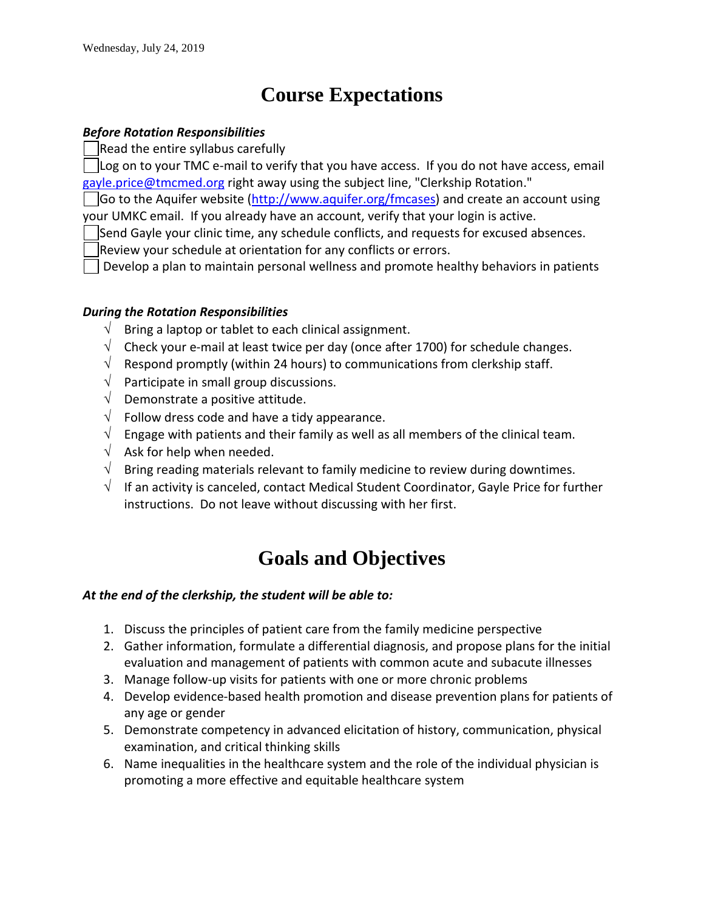# **Course Expectations**

#### *Before Rotation Responsibilities*

Read the entire syllabus carefully

Log on to your TMC e-mail to verify that you have access. If you do not have access, email [gayle.price@tmcmed.org](mailto:gayle.price@tmcmed.org) right away using the subject line, "Clerkship Rotation."

Go to the Aquifer website [\(http://www.aquifer.org/fmcases\)](http://www.aquifer.org/fmcases) and create an account using your UMKC email. If you already have an account, verify that your login is active.

Send Gayle your clinic time, any schedule conflicts, and requests for excused absences.

Review your schedule at orientation for any conflicts or errors.

Develop a plan to maintain personal wellness and promote healthy behaviors in patients

#### *During the Rotation Responsibilities*

- $\sqrt{\phantom{a}}$  Bring a laptop or tablet to each clinical assignment.
- $\sqrt{\phantom{a}}$  Check your e-mail at least twice per day (once after 1700) for schedule changes.
- $\sqrt{\phantom{a}}$  Respond promptly (within 24 hours) to communications from clerkship staff.
- $\sqrt{\phantom{a}}$  Participate in small group discussions.
- $\sqrt{\phantom{a}}$  Demonstrate a positive attitude.
- $\sqrt{\phantom{a}}$  Follow dress code and have a tidy appearance.
- $\sqrt{\phantom{a}}$  Engage with patients and their family as well as all members of the clinical team.
- $\sqrt{\phantom{a}}$  Ask for help when needed.
- $\sqrt{\phantom{a}}$  Bring reading materials relevant to family medicine to review during downtimes.
- $\sqrt{\phantom{a}}$  If an activity is canceled, contact Medical Student Coordinator, Gayle Price for further instructions. Do not leave without discussing with her first.

# **Goals and Objectives**

#### *At the end of the clerkship, the student will be able to:*

- 1. Discuss the principles of patient care from the family medicine perspective
- 2. Gather information, formulate a differential diagnosis, and propose plans for the initial evaluation and management of patients with common acute and subacute illnesses
- 3. Manage follow-up visits for patients with one or more chronic problems
- 4. Develop evidence-based health promotion and disease prevention plans for patients of any age or gender
- 5. Demonstrate competency in advanced elicitation of history, communication, physical examination, and critical thinking skills
- 6. Name inequalities in the healthcare system and the role of the individual physician is promoting a more effective and equitable healthcare system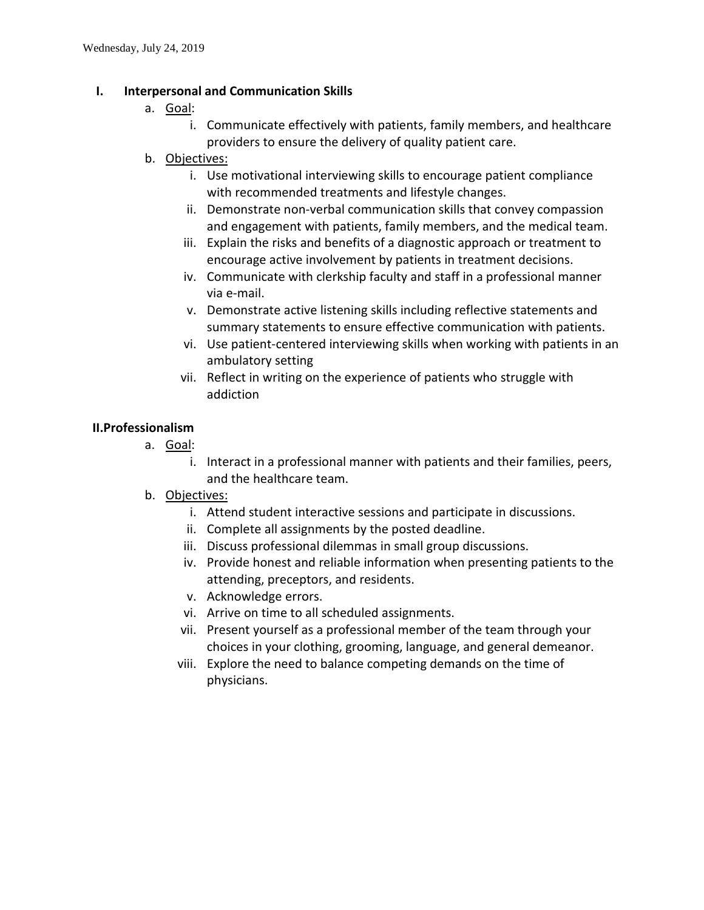#### **I. Interpersonal and Communication Skills**

- a. Goal:
	- i. Communicate effectively with patients, family members, and healthcare providers to ensure the delivery of quality patient care.
- b. Objectives:
	- i. Use motivational interviewing skills to encourage patient compliance with recommended treatments and lifestyle changes.
	- ii. Demonstrate non-verbal communication skills that convey compassion and engagement with patients, family members, and the medical team.
	- iii. Explain the risks and benefits of a diagnostic approach or treatment to encourage active involvement by patients in treatment decisions.
	- iv. Communicate with clerkship faculty and staff in a professional manner via e-mail.
	- v. Demonstrate active listening skills including reflective statements and summary statements to ensure effective communication with patients.
	- vi. Use patient-centered interviewing skills when working with patients in an ambulatory setting
	- vii. Reflect in writing on the experience of patients who struggle with addiction

#### **II.Professionalism**

- a. Goal:
	- i. Interact in a professional manner with patients and their families, peers, and the healthcare team.
- b. Objectives:
	- i. Attend student interactive sessions and participate in discussions.
	- ii. Complete all assignments by the posted deadline.
	- iii. Discuss professional dilemmas in small group discussions.
	- iv. Provide honest and reliable information when presenting patients to the attending, preceptors, and residents.
	- v. Acknowledge errors.
	- vi. Arrive on time to all scheduled assignments.
	- vii. Present yourself as a professional member of the team through your choices in your clothing, grooming, language, and general demeanor.
	- viii. Explore the need to balance competing demands on the time of physicians.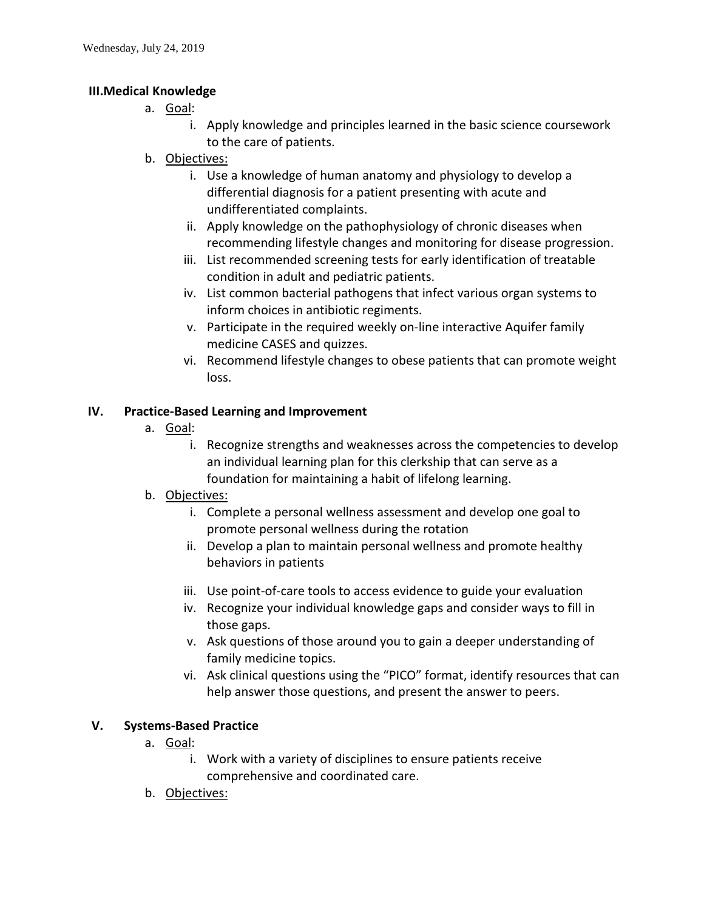#### **III.Medical Knowledge**

- a. Goal:
	- i. Apply knowledge and principles learned in the basic science coursework to the care of patients.
- b. Objectives:
	- i. Use a knowledge of human anatomy and physiology to develop a differential diagnosis for a patient presenting with acute and undifferentiated complaints.
	- ii. Apply knowledge on the pathophysiology of chronic diseases when recommending lifestyle changes and monitoring for disease progression.
	- iii. List recommended screening tests for early identification of treatable condition in adult and pediatric patients.
	- iv. List common bacterial pathogens that infect various organ systems to inform choices in antibiotic regiments.
	- v. Participate in the required weekly on-line interactive Aquifer family medicine CASES and quizzes.
	- vi. Recommend lifestyle changes to obese patients that can promote weight loss.

#### **IV. Practice-Based Learning and Improvement**

- a. Goal:
	- i. Recognize strengths and weaknesses across the competencies to develop an individual learning plan for this clerkship that can serve as a foundation for maintaining a habit of lifelong learning.

# b. Objectives:

- i. Complete a personal wellness assessment and develop one goal to promote personal wellness during the rotation
- ii. Develop a plan to maintain personal wellness and promote healthy behaviors in patients
- iii. Use point-of-care tools to access evidence to guide your evaluation
- iv. Recognize your individual knowledge gaps and consider ways to fill in those gaps.
- v. Ask questions of those around you to gain a deeper understanding of family medicine topics.
- vi. Ask clinical questions using the "PICO" format, identify resources that can help answer those questions, and present the answer to peers.

#### **V. Systems-Based Practice**

- a. Goal:
	- i. Work with a variety of disciplines to ensure patients receive comprehensive and coordinated care.
- b. Objectives: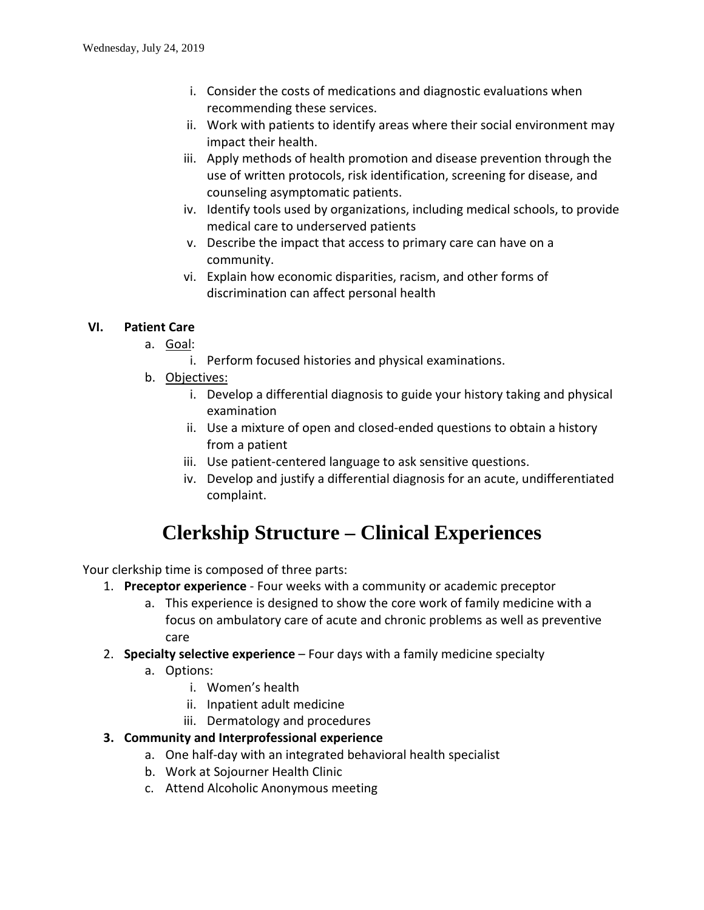- i. Consider the costs of medications and diagnostic evaluations when recommending these services.
- ii. Work with patients to identify areas where their social environment may impact their health.
- iii. Apply methods of health promotion and disease prevention through the use of written protocols, risk identification, screening for disease, and counseling asymptomatic patients.
- iv. Identify tools used by organizations, including medical schools, to provide medical care to underserved patients
- v. Describe the impact that access to primary care can have on a community.
- vi. Explain how economic disparities, racism, and other forms of discrimination can affect personal health

# **VI. Patient Care**

- a. Goal:
	- i. Perform focused histories and physical examinations.
- b. Objectives:
	- i. Develop a differential diagnosis to guide your history taking and physical examination
	- ii. Use a mixture of open and closed-ended questions to obtain a history from a patient
	- iii. Use patient-centered language to ask sensitive questions.
	- iv. Develop and justify a differential diagnosis for an acute, undifferentiated complaint.

# **Clerkship Structure – Clinical Experiences**

Your clerkship time is composed of three parts:

- 1. **Preceptor experience** Four weeks with a community or academic preceptor
	- a. This experience is designed to show the core work of family medicine with a focus on ambulatory care of acute and chronic problems as well as preventive care
- 2. **Specialty selective experience** Four days with a family medicine specialty
	- a. Options:
		- i. Women's health
		- ii. Inpatient adult medicine
		- iii. Dermatology and procedures
- **3. Community and Interprofessional experience**
	- a. One half-day with an integrated behavioral health specialist
	- b. Work at Sojourner Health Clinic
	- c. Attend Alcoholic Anonymous meeting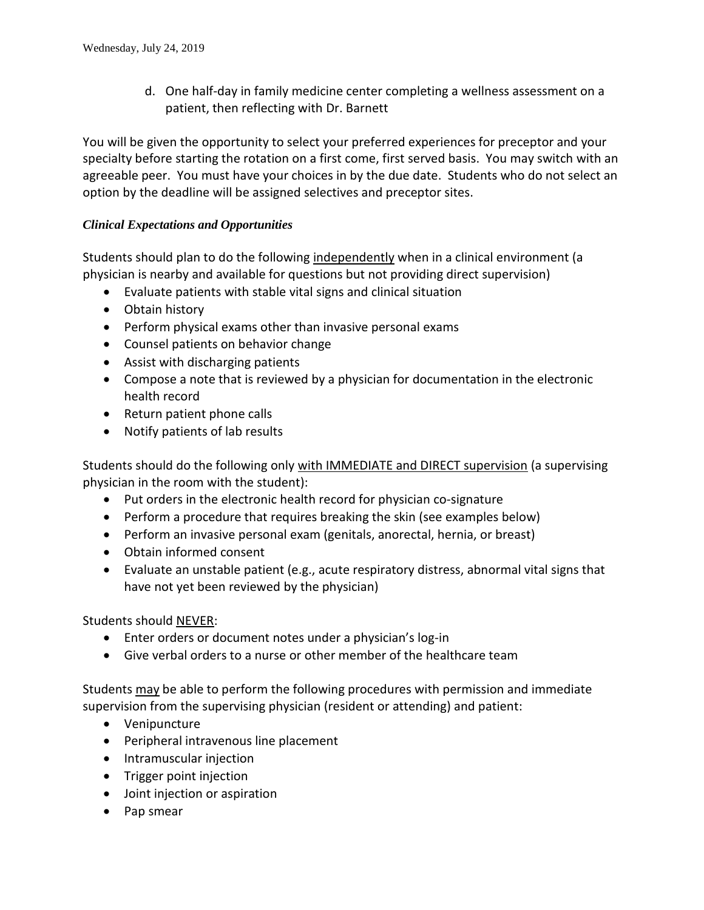d. One half-day in family medicine center completing a wellness assessment on a patient, then reflecting with Dr. Barnett

You will be given the opportunity to select your preferred experiences for preceptor and your specialty before starting the rotation on a first come, first served basis. You may switch with an agreeable peer. You must have your choices in by the due date. Students who do not select an option by the deadline will be assigned selectives and preceptor sites.

# *Clinical Expectations and Opportunities*

Students should plan to do the following independently when in a clinical environment (a physician is nearby and available for questions but not providing direct supervision)

- Evaluate patients with stable vital signs and clinical situation
- Obtain history
- Perform physical exams other than invasive personal exams
- Counsel patients on behavior change
- Assist with discharging patients
- Compose a note that is reviewed by a physician for documentation in the electronic health record
- Return patient phone calls
- Notify patients of lab results

Students should do the following only with IMMEDIATE and DIRECT supervision (a supervising physician in the room with the student):

- Put orders in the electronic health record for physician co-signature
- Perform a procedure that requires breaking the skin (see examples below)
- Perform an invasive personal exam (genitals, anorectal, hernia, or breast)
- Obtain informed consent
- Evaluate an unstable patient (e.g., acute respiratory distress, abnormal vital signs that have not yet been reviewed by the physician)

Students should NEVER:

- Enter orders or document notes under a physician's log-in
- Give verbal orders to a nurse or other member of the healthcare team

Students may be able to perform the following procedures with permission and immediate supervision from the supervising physician (resident or attending) and patient:

- Venipuncture
- Peripheral intravenous line placement
- Intramuscular injection
- Trigger point injection
- Joint injection or aspiration
- Pap smear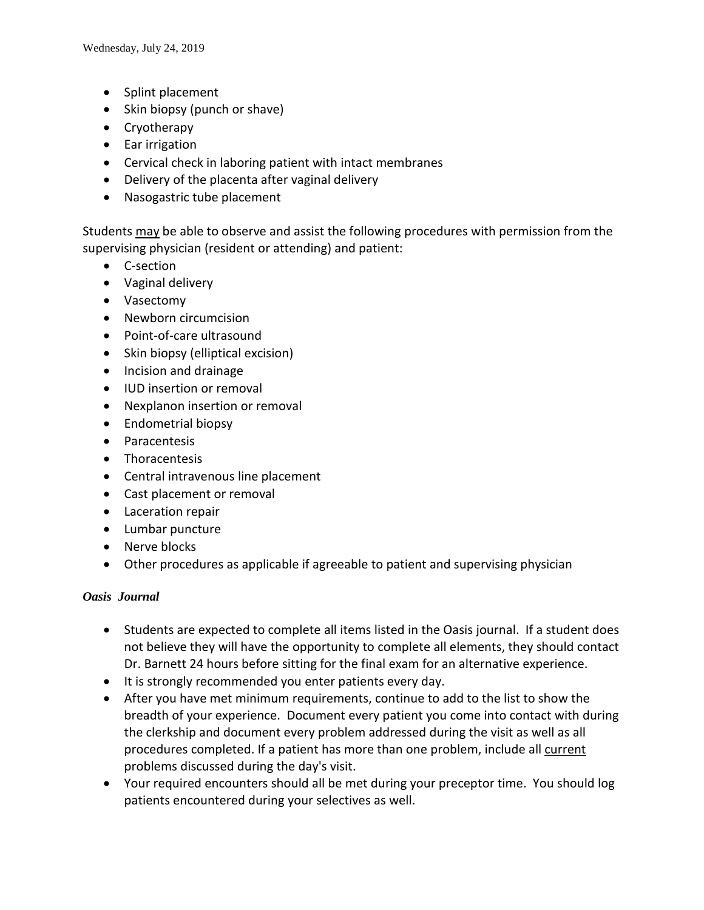- Splint placement
- Skin biopsy (punch or shave)
- Cryotherapy
- Ear irrigation
- Cervical check in laboring patient with intact membranes
- Delivery of the placenta after vaginal delivery
- Nasogastric tube placement

Students may be able to observe and assist the following procedures with permission from the supervising physician (resident or attending) and patient:

- C-section
- Vaginal delivery
- Vasectomy
- Newborn circumcision
- Point-of-care ultrasound
- Skin biopsy (elliptical excision)
- Incision and drainage
- IUD insertion or removal
- Nexplanon insertion or removal
- Endometrial biopsy
- Paracentesis
- Thoracentesis
- Central intravenous line placement
- Cast placement or removal
- Laceration repair
- Lumbar puncture
- Nerve blocks
- Other procedures as applicable if agreeable to patient and supervising physician

#### *Oasis Journal*

- Students are expected to complete all items listed in the Oasis journal. If a student does not believe they will have the opportunity to complete all elements, they should contact Dr. Barnett 24 hours before sitting for the final exam for an alternative experience.
- It is strongly recommended you enter patients every day.
- After you have met minimum requirements, continue to add to the list to show the breadth of your experience. Document every patient you come into contact with during the clerkship and document every problem addressed during the visit as well as all procedures completed. If a patient has more than one problem, include all current problems discussed during the day's visit.
- Your required encounters should all be met during your preceptor time. You should log patients encountered during your selectives as well.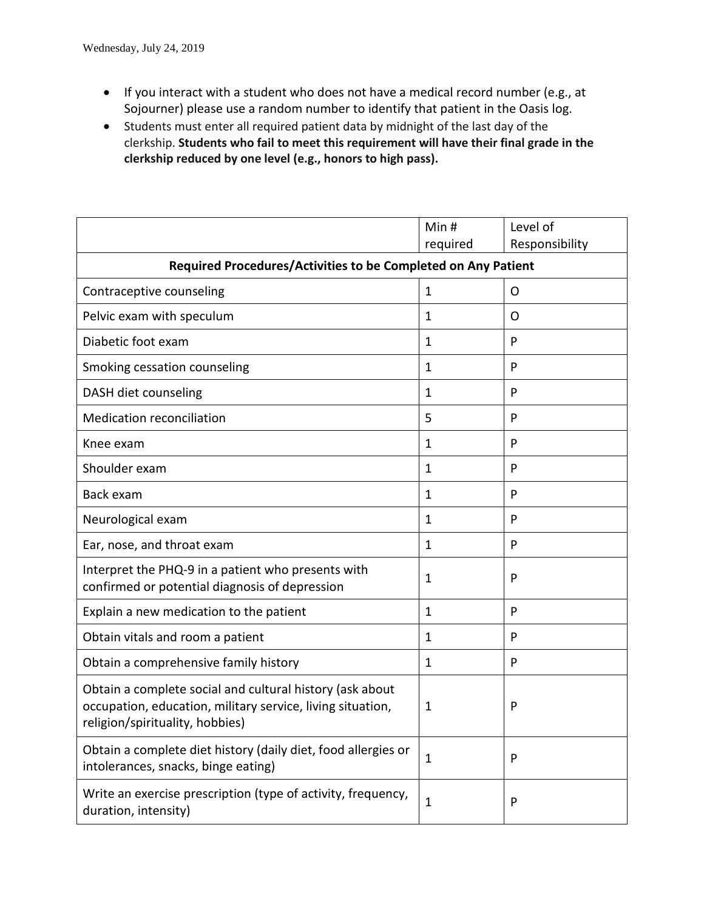- If you interact with a student who does not have a medical record number (e.g., at Sojourner) please use a random number to identify that patient in the Oasis log.
- Students must enter all required patient data by midnight of the last day of the clerkship. **Students who fail to meet this requirement will have their final grade in the clerkship reduced by one level (e.g., honors to high pass).**

|                                                                                                                                                                                                                                                                                                                                                                                     | Min#         | Level of       |  |  |  |  |
|-------------------------------------------------------------------------------------------------------------------------------------------------------------------------------------------------------------------------------------------------------------------------------------------------------------------------------------------------------------------------------------|--------------|----------------|--|--|--|--|
|                                                                                                                                                                                                                                                                                                                                                                                     | required     | Responsibility |  |  |  |  |
| Required Procedures/Activities to be Completed on Any Patient                                                                                                                                                                                                                                                                                                                       |              |                |  |  |  |  |
| Contraceptive counseling<br>1<br>Pelvic exam with speculum<br>1<br>Diabetic foot exam<br>1<br>Smoking cessation counseling<br>$\mathbf{1}$<br>DASH diet counseling<br>$\mathbf{1}$<br><b>Medication reconciliation</b><br>5<br>Knee exam<br>$\mathbf{1}$<br>Shoulder exam<br>$\mathbf{1}$<br>Back exam<br>1<br>Neurological exam<br>1<br>Ear, nose, and throat exam<br>$\mathbf{1}$ |              | O              |  |  |  |  |
|                                                                                                                                                                                                                                                                                                                                                                                     |              | O              |  |  |  |  |
|                                                                                                                                                                                                                                                                                                                                                                                     |              | P              |  |  |  |  |
|                                                                                                                                                                                                                                                                                                                                                                                     | P            |                |  |  |  |  |
|                                                                                                                                                                                                                                                                                                                                                                                     |              | P              |  |  |  |  |
|                                                                                                                                                                                                                                                                                                                                                                                     |              | P              |  |  |  |  |
|                                                                                                                                                                                                                                                                                                                                                                                     |              | P              |  |  |  |  |
|                                                                                                                                                                                                                                                                                                                                                                                     |              | P              |  |  |  |  |
|                                                                                                                                                                                                                                                                                                                                                                                     |              | P              |  |  |  |  |
|                                                                                                                                                                                                                                                                                                                                                                                     |              | P              |  |  |  |  |
|                                                                                                                                                                                                                                                                                                                                                                                     |              | P              |  |  |  |  |
| Interpret the PHQ-9 in a patient who presents with<br>confirmed or potential diagnosis of depression                                                                                                                                                                                                                                                                                | $\mathbf{1}$ | P              |  |  |  |  |
| Explain a new medication to the patient                                                                                                                                                                                                                                                                                                                                             | $\mathbf{1}$ | P              |  |  |  |  |
| Obtain vitals and room a patient                                                                                                                                                                                                                                                                                                                                                    | 1            | P              |  |  |  |  |
| Obtain a comprehensive family history                                                                                                                                                                                                                                                                                                                                               | 1            | P              |  |  |  |  |
| Obtain a complete social and cultural history (ask about<br>occupation, education, military service, living situation,<br>religion/spirituality, hobbies)                                                                                                                                                                                                                           | 1            | P              |  |  |  |  |
| Obtain a complete diet history (daily diet, food allergies or<br>intolerances, snacks, binge eating)                                                                                                                                                                                                                                                                                | $\mathbf{1}$ | P              |  |  |  |  |
| Write an exercise prescription (type of activity, frequency,<br>duration, intensity)                                                                                                                                                                                                                                                                                                | $\mathbf{1}$ | P              |  |  |  |  |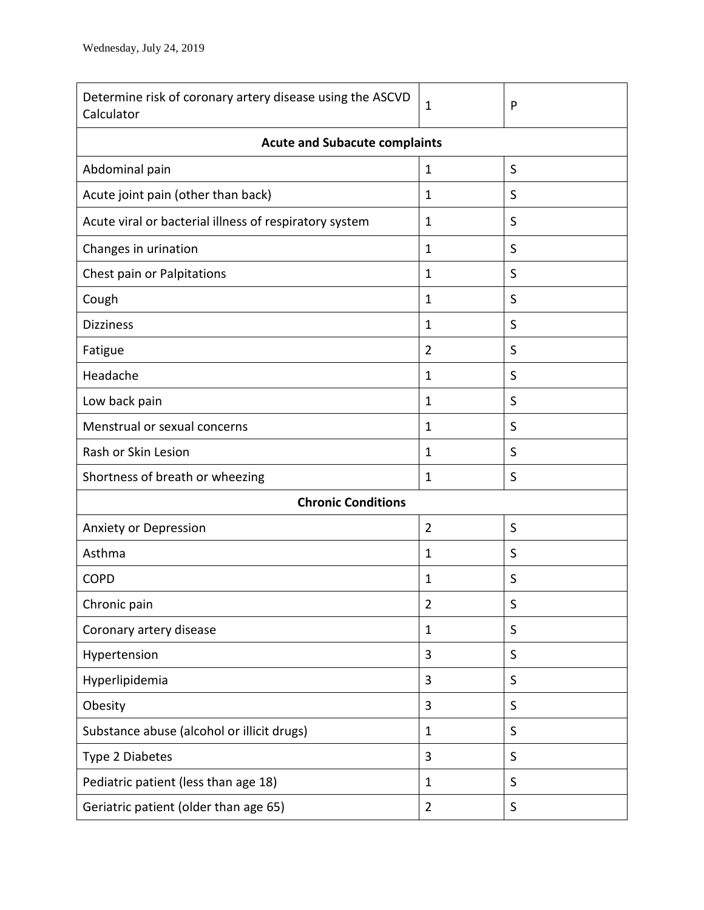| Determine risk of coronary artery disease using the ASCVD<br>Calculator | $\mathbf{1}$        | P |  |  |  |  |
|-------------------------------------------------------------------------|---------------------|---|--|--|--|--|
| <b>Acute and Subacute complaints</b>                                    |                     |   |  |  |  |  |
| Abdominal pain                                                          | $\mathbf{1}$        | S |  |  |  |  |
| Acute joint pain (other than back)                                      | $\mathbf{1}$        | S |  |  |  |  |
| Acute viral or bacterial illness of respiratory system                  | $\mathbf{1}$        | S |  |  |  |  |
| Changes in urination                                                    | $\mathbf{1}$        | S |  |  |  |  |
| Chest pain or Palpitations                                              | $\mathbf{1}$        | S |  |  |  |  |
| Cough                                                                   | $\mathbf{1}$        | S |  |  |  |  |
| <b>Dizziness</b>                                                        | $\mathbf{1}$        | S |  |  |  |  |
| Fatigue                                                                 | $\overline{2}$<br>S |   |  |  |  |  |
| Headache                                                                | $\mathbf{1}$        | S |  |  |  |  |
| Low back pain                                                           | $\mathbf{1}$        | S |  |  |  |  |
| Menstrual or sexual concerns                                            | 1                   | S |  |  |  |  |
| Rash or Skin Lesion                                                     | 1                   | S |  |  |  |  |
| Shortness of breath or wheezing                                         | $\mathbf{1}$        | S |  |  |  |  |
| <b>Chronic Conditions</b>                                               |                     |   |  |  |  |  |
| Anxiety or Depression                                                   | $\overline{2}$      | S |  |  |  |  |
| Asthma                                                                  | $\mathbf{1}$        | S |  |  |  |  |
| <b>COPD</b>                                                             | S<br>$\mathbf{1}$   |   |  |  |  |  |
| Chronic pain                                                            | 2                   | S |  |  |  |  |
| Coronary artery disease                                                 | $\mathbf{1}$        | S |  |  |  |  |
| Hypertension                                                            | 3                   | S |  |  |  |  |
| Hyperlipidemia                                                          | 3                   | S |  |  |  |  |
| Obesity                                                                 | 3                   | S |  |  |  |  |
| Substance abuse (alcohol or illicit drugs)                              | $\mathbf{1}$        | S |  |  |  |  |
| Type 2 Diabetes                                                         | 3                   | S |  |  |  |  |
| Pediatric patient (less than age 18)                                    | $\mathbf{1}$        | S |  |  |  |  |
| Geriatric patient (older than age 65)                                   | $\overline{2}$      | S |  |  |  |  |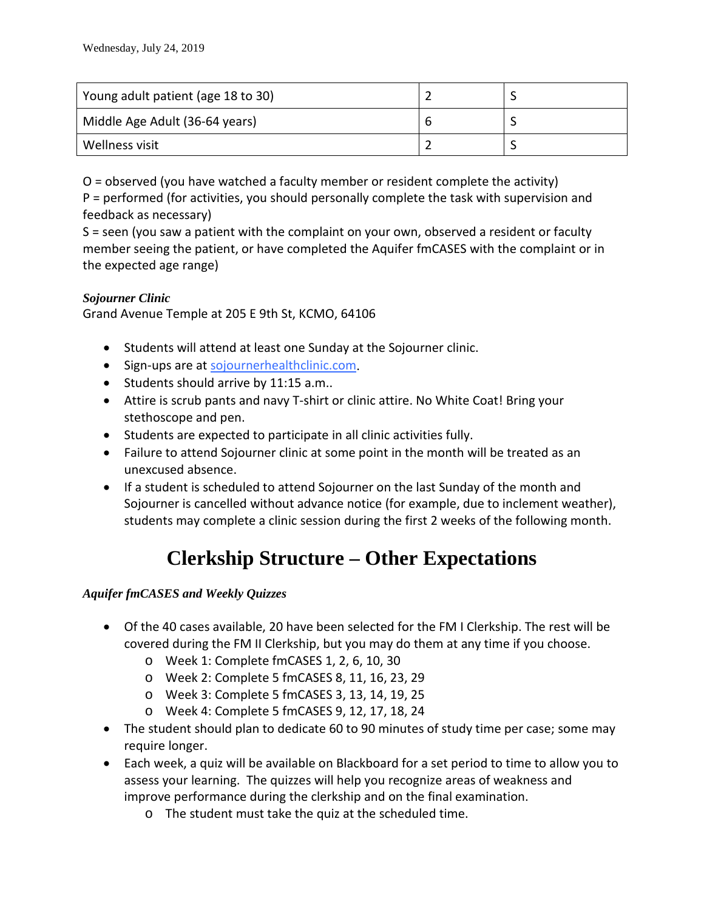| Young adult patient (age 18 to 30) |  |
|------------------------------------|--|
| Middle Age Adult (36-64 years)     |  |
| Wellness visit                     |  |

O = observed (you have watched a faculty member or resident complete the activity) P = performed (for activities, you should personally complete the task with supervision and feedback as necessary)

S = seen (you saw a patient with the complaint on your own, observed a resident or faculty member seeing the patient, or have completed the Aquifer fmCASES with the complaint or in the expected age range)

#### *Sojourner Clinic*

Grand Avenue Temple at 205 E 9th St, KCMO, 64106

- Students will attend at least one Sunday at the Sojourner clinic.
- Sign-ups are at [sojournerhealthclinic.com.](http://sojournerhealthclinic.com/)
- Students should arrive by 11:15 a.m..
- Attire is scrub pants and navy T-shirt or clinic attire. No White Coat! Bring your stethoscope and pen.
- Students are expected to participate in all clinic activities fully.
- Failure to attend Sojourner clinic at some point in the month will be treated as an unexcused absence.
- If a student is scheduled to attend Sojourner on the last Sunday of the month and Sojourner is cancelled without advance notice (for example, due to inclement weather), students may complete a clinic session during the first 2 weeks of the following month.

# **Clerkship Structure – Other Expectations**

# *Aquifer fmCASES and Weekly Quizzes*

- Of the 40 cases available, 20 have been selected for the FM I Clerkship. The rest will be covered during the FM II Clerkship, but you may do them at any time if you choose.
	- o Week 1: Complete fmCASES 1, 2, 6, 10, 30
	- o Week 2: Complete 5 fmCASES 8, 11, 16, 23, 29
	- o Week 3: Complete 5 fmCASES 3, 13, 14, 19, 25
	- o Week 4: Complete 5 fmCASES 9, 12, 17, 18, 24
- The student should plan to dedicate 60 to 90 minutes of study time per case; some may require longer.
- Each week, a quiz will be available on Blackboard for a set period to time to allow you to assess your learning. The quizzes will help you recognize areas of weakness and improve performance during the clerkship and on the final examination.
	- o The student must take the quiz at the scheduled time.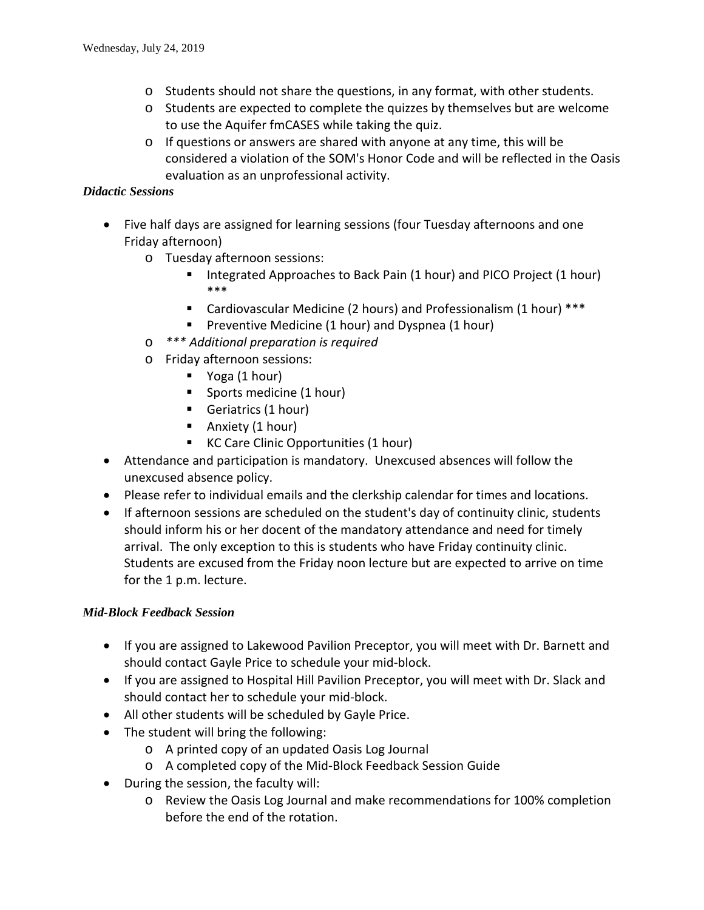- $\circ$  Students should not share the questions, in any format, with other students.
- o Students are expected to complete the quizzes by themselves but are welcome to use the Aquifer fmCASES while taking the quiz.
- o If questions or answers are shared with anyone at any time, this will be considered a violation of the SOM's Honor Code and will be reflected in the Oasis evaluation as an unprofessional activity.

#### *Didactic Sessions*

- Five half days are assigned for learning sessions (four Tuesday afternoons and one Friday afternoon)
	- o Tuesday afternoon sessions:
		- Integrated Approaches to Back Pain (1 hour) and PICO Project (1 hour) \*\*\*
		- Cardiovascular Medicine (2 hours) and Professionalism (1 hour) \*\*\*
		- **Preventive Medicine (1 hour) and Dyspnea (1 hour)**
	- o *\*\*\* Additional preparation is required*
	- o Friday afternoon sessions:
		- Voga (1 hour)
		- **Sports medicine (1 hour)**
		- Geriatrics (1 hour)
		- **Anxiety (1 hour)**
		- KC Care Clinic Opportunities (1 hour)
- Attendance and participation is mandatory. Unexcused absences will follow the unexcused absence policy.
- Please refer to individual emails and the clerkship calendar for times and locations.
- If afternoon sessions are scheduled on the student's day of continuity clinic, students should inform his or her docent of the mandatory attendance and need for timely arrival. The only exception to this is students who have Friday continuity clinic. Students are excused from the Friday noon lecture but are expected to arrive on time for the 1 p.m. lecture.

# *Mid-Block Feedback Session*

- If you are assigned to Lakewood Pavilion Preceptor, you will meet with Dr. Barnett and should contact Gayle Price to schedule your mid-block.
- If you are assigned to Hospital Hill Pavilion Preceptor, you will meet with Dr. Slack and should contact her to schedule your mid-block.
- All other students will be scheduled by Gayle Price.
- The student will bring the following:
	- o A printed copy of an updated Oasis Log Journal
	- o A completed copy of the Mid-Block Feedback Session Guide
- During the session, the faculty will:
	- o Review the Oasis Log Journal and make recommendations for 100% completion before the end of the rotation.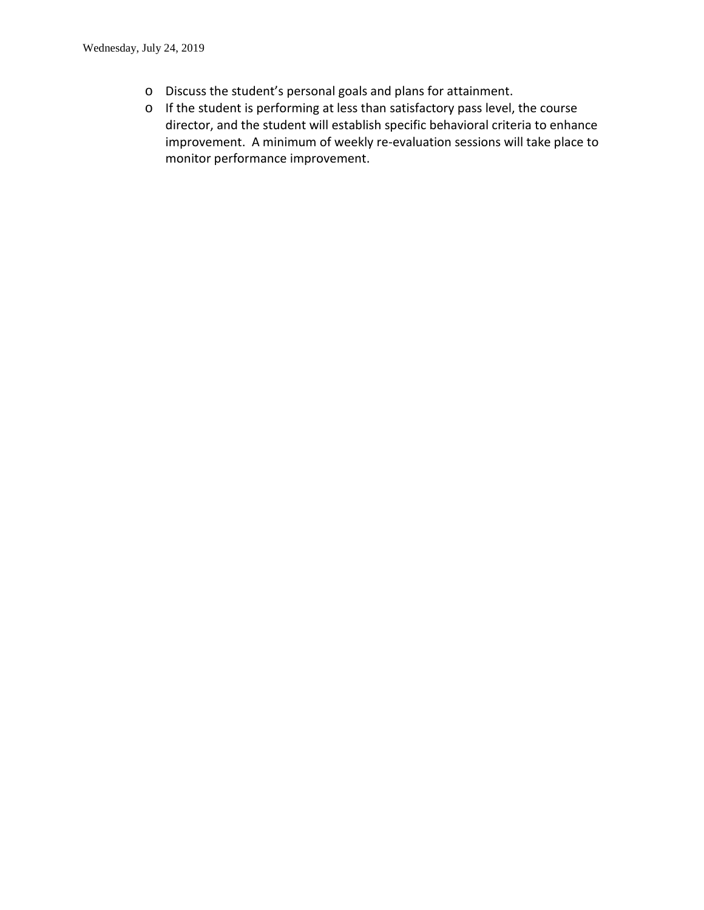- o Discuss the student's personal goals and plans for attainment.
- o If the student is performing at less than satisfactory pass level, the course director, and the student will establish specific behavioral criteria to enhance improvement. A minimum of weekly re-evaluation sessions will take place to monitor performance improvement.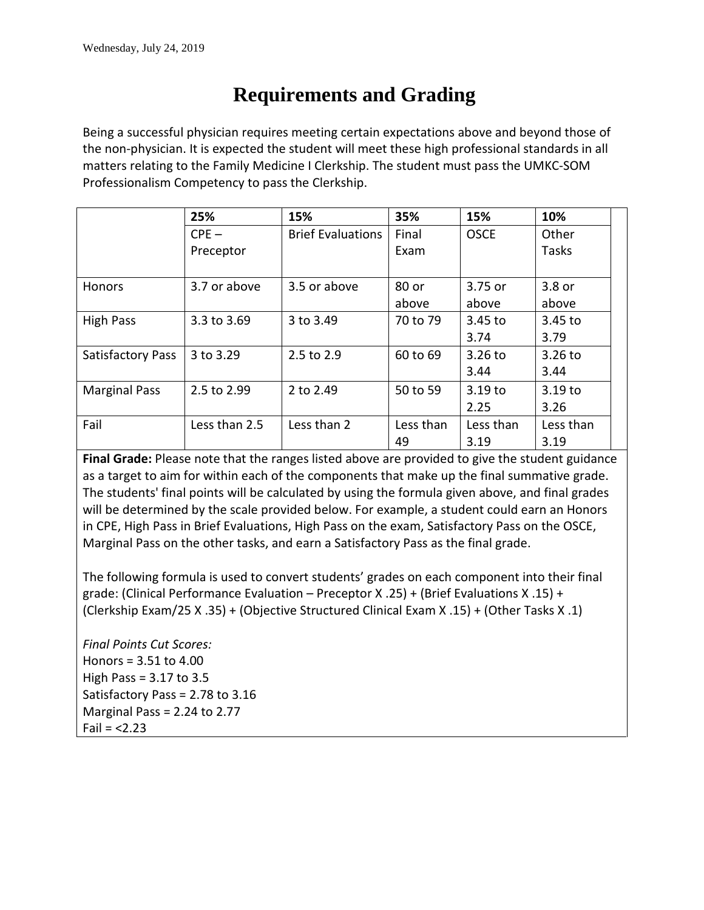# **Requirements and Grading**

Being a successful physician requires meeting certain expectations above and beyond those of the non-physician. It is expected the student will meet these high professional standards in all matters relating to the Family Medicine I Clerkship. The student must pass the UMKC-SOM Professionalism Competency to pass the Clerkship.

|                          | 25%           | 15%                      | 35%       | 15%         | 10%       |
|--------------------------|---------------|--------------------------|-----------|-------------|-----------|
|                          | $CPE -$       | <b>Brief Evaluations</b> | Final     | <b>OSCE</b> | Other     |
|                          | Preceptor     |                          | Exam      |             | Tasks     |
| <b>Honors</b>            | 3.7 or above  | 3.5 or above             | 80 or     | 3.75 or     | 3.8 or    |
|                          |               |                          | above     | above       | above     |
| <b>High Pass</b>         | 3.3 to 3.69   | 3 to 3.49                | 70 to 79  | 3.45 to     | 3.45 to   |
|                          |               |                          |           | 3.74        | 3.79      |
| <b>Satisfactory Pass</b> | 3 to 3.29     | 2.5 to 2.9               | 60 to 69  | 3.26 to     | $3.26$ to |
|                          |               |                          |           | 3.44        | 3.44      |
| <b>Marginal Pass</b>     | 2.5 to 2.99   | 2 to 2.49                | 50 to 59  | 3.19 to     | 3.19 to   |
|                          |               |                          |           | 2.25        | 3.26      |
| Fail                     | Less than 2.5 | Less than 2              | Less than | Less than   | Less than |
|                          |               |                          | 49        | 3.19        | 3.19      |

**Final Grade:** Please note that the ranges listed above are provided to give the student guidance as a target to aim for within each of the components that make up the final summative grade. The students' final points will be calculated by using the formula given above, and final grades will be determined by the scale provided below. For example, a student could earn an Honors in CPE, High Pass in Brief Evaluations, High Pass on the exam, Satisfactory Pass on the OSCE, Marginal Pass on the other tasks, and earn a Satisfactory Pass as the final grade.

The following formula is used to convert students' grades on each component into their final grade: (Clinical Performance Evaluation – Preceptor X .25) + (Brief Evaluations X .15) + (Clerkship Exam/25 X .35) + (Objective Structured Clinical Exam X .15) + (Other Tasks X .1)

*Final Points Cut Scores:* Honors = 3.51 to 4.00 High Pass = 3.17 to 3.5 Satisfactory Pass = 2.78 to 3.16 Marginal Pass = 2.24 to 2.77  $Fail = < 2.23$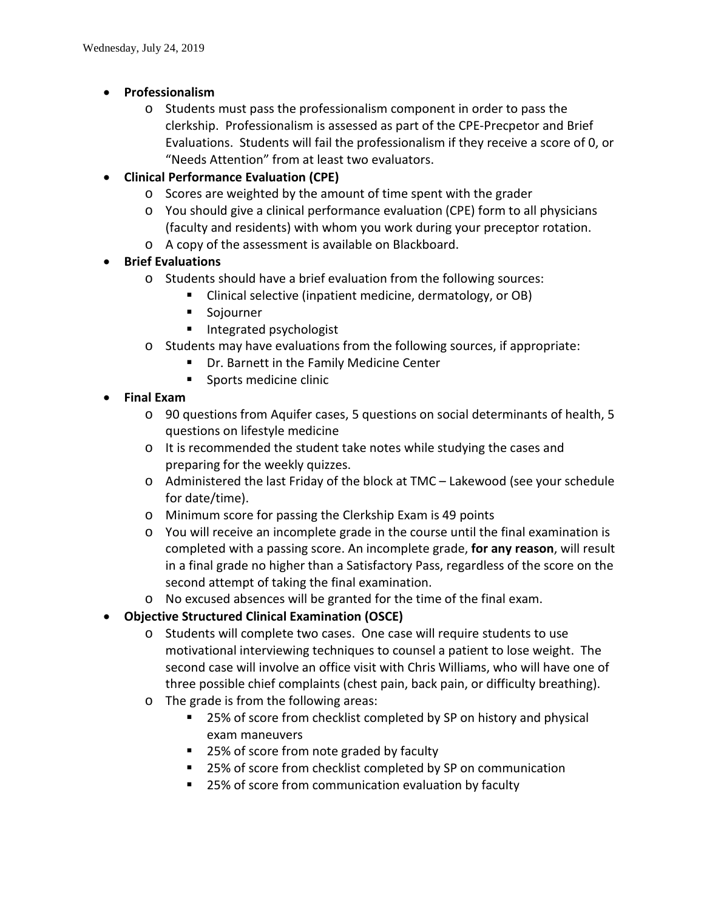- **Professionalism**
	- o Students must pass the professionalism component in order to pass the clerkship. Professionalism is assessed as part of the CPE-Precpetor and Brief Evaluations. Students will fail the professionalism if they receive a score of 0, or "Needs Attention" from at least two evaluators.

# • **Clinical Performance Evaluation (CPE)**

- o Scores are weighted by the amount of time spent with the grader
- o You should give a clinical performance evaluation (CPE) form to all physicians (faculty and residents) with whom you work during your preceptor rotation.
- o A copy of the assessment is available on Blackboard.

# • **Brief Evaluations**

- o Students should have a brief evaluation from the following sources:
	- Clinical selective (inpatient medicine, dermatology, or OB)
	- **Sojourner**
	- **Integrated psychologist**
- o Students may have evaluations from the following sources, if appropriate:
	- **Dr. Barnett in the Family Medicine Center**
	- **Sports medicine clinic**

# • **Final Exam**

- o 90 questions from Aquifer cases, 5 questions on social determinants of health, 5 questions on lifestyle medicine
- o It is recommended the student take notes while studying the cases and preparing for the weekly quizzes.
- o Administered the last Friday of the block at TMC Lakewood (see your schedule for date/time).
- o Minimum score for passing the Clerkship Exam is 49 points
- o You will receive an incomplete grade in the course until the final examination is completed with a passing score. An incomplete grade, **for any reason**, will result in a final grade no higher than a Satisfactory Pass, regardless of the score on the second attempt of taking the final examination.
- o No excused absences will be granted for the time of the final exam.
- **Objective Structured Clinical Examination (OSCE)**
	- o Students will complete two cases. One case will require students to use motivational interviewing techniques to counsel a patient to lose weight. The second case will involve an office visit with Chris Williams, who will have one of three possible chief complaints (chest pain, back pain, or difficulty breathing).
	- o The grade is from the following areas:
		- 25% of score from checklist completed by SP on history and physical exam maneuvers
		- 25% of score from note graded by faculty
		- 25% of score from checklist completed by SP on communication
		- 25% of score from communication evaluation by faculty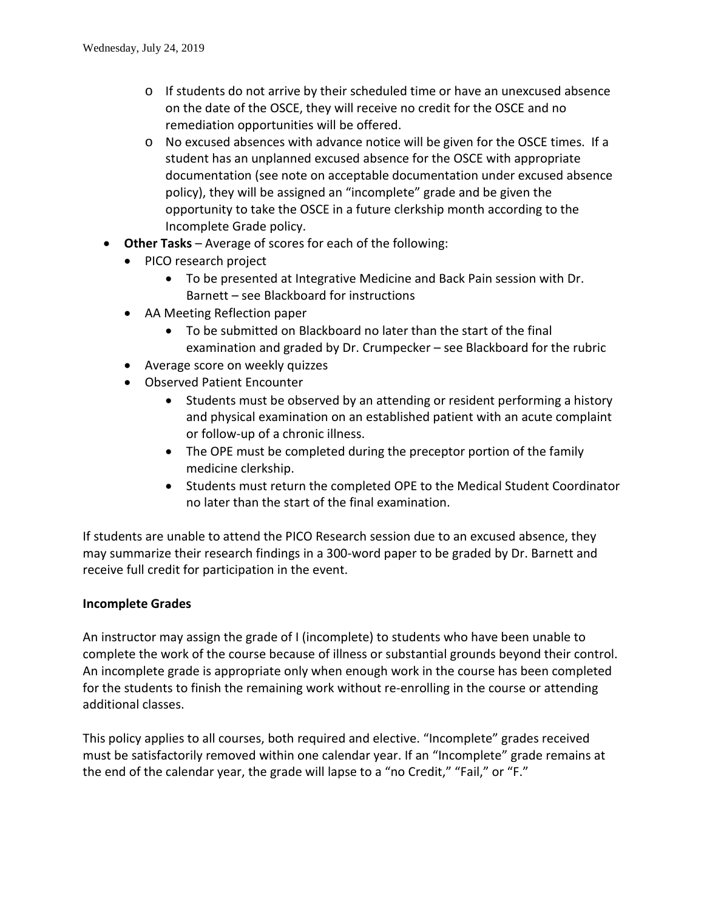- $\circ$  If students do not arrive by their scheduled time or have an unexcused absence on the date of the OSCE, they will receive no credit for the OSCE and no remediation opportunities will be offered.
- o No excused absences with advance notice will be given for the OSCE times. If a student has an unplanned excused absence for the OSCE with appropriate documentation (see note on acceptable documentation under excused absence policy), they will be assigned an "incomplete" grade and be given the opportunity to take the OSCE in a future clerkship month according to the Incomplete Grade policy.
- **Other Tasks** Average of scores for each of the following:
	- PICO research project
		- To be presented at Integrative Medicine and Back Pain session with Dr. Barnett – see Blackboard for instructions
	- AA Meeting Reflection paper
		- To be submitted on Blackboard no later than the start of the final examination and graded by Dr. Crumpecker – see Blackboard for the rubric
	- Average score on weekly quizzes
	- Observed Patient Encounter
		- Students must be observed by an attending or resident performing a history and physical examination on an established patient with an acute complaint or follow-up of a chronic illness.
		- The OPE must be completed during the preceptor portion of the family medicine clerkship.
		- Students must return the completed OPE to the Medical Student Coordinator no later than the start of the final examination.

If students are unable to attend the PICO Research session due to an excused absence, they may summarize their research findings in a 300-word paper to be graded by Dr. Barnett and receive full credit for participation in the event.

# **Incomplete Grades**

An instructor may assign the grade of I (incomplete) to students who have been unable to complete the work of the course because of illness or substantial grounds beyond their control. An incomplete grade is appropriate only when enough work in the course has been completed for the students to finish the remaining work without re-enrolling in the course or attending additional classes.

This policy applies to all courses, both required and elective. "Incomplete" grades received must be satisfactorily removed within one calendar year. If an "Incomplete" grade remains at the end of the calendar year, the grade will lapse to a "no Credit," "Fail," or "F."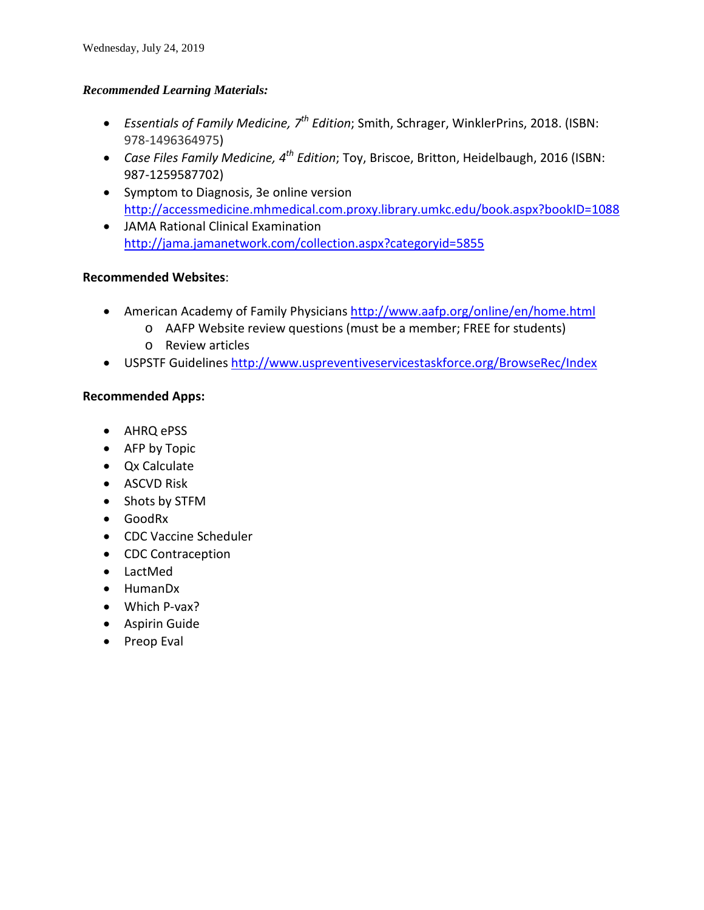#### *Recommended Learning Materials:*

- *Essentials of Family Medicine, 7th Edition*; Smith, Schrager, WinklerPrins, 2018. (ISBN: 978-1496364975)
- *Case Files Family Medicine, 4th Edition*; Toy, Briscoe, Britton, Heidelbaugh, 2016 (ISBN: 987-1259587702)
- Symptom to Diagnosis, 3e online version <http://accessmedicine.mhmedical.com.proxy.library.umkc.edu/book.aspx?bookID=1088>
- JAMA Rational Clinical Examination <http://jama.jamanetwork.com/collection.aspx?categoryid=5855>

# **Recommended Websites**:

- American Academy of Family Physicians<http://www.aafp.org/online/en/home.html>
	- o AAFP Website review questions (must be a member; FREE for students)
	- o Review articles
- USPSTF Guidelines<http://www.uspreventiveservicestaskforce.org/BrowseRec/Index>

# **Recommended Apps:**

- AHRQ ePSS
- AFP by Topic
- Qx Calculate
- ASCVD Risk
- Shots by STFM
- GoodRx
- CDC Vaccine Scheduler
- CDC Contraception
- LactMed
- HumanDx
- Which P-vax?
- Aspirin Guide
- Preop Eval